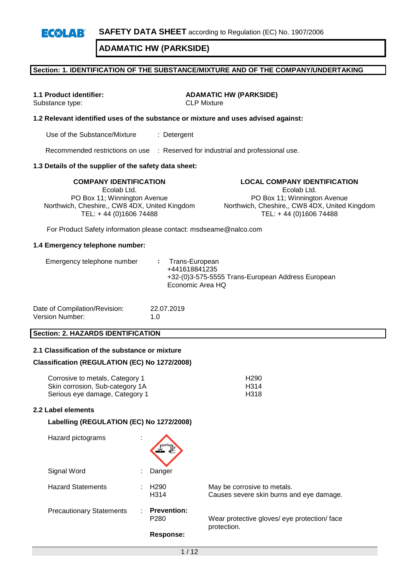### **Section: 1. IDENTIFICATION OF THE SUBSTANCE/MIXTURE AND OF THE COMPANY/UNDERTAKING**

Substance type: CLP Mixture

**1.1 Product identifier: ADAMATIC HW (PARKSIDE)**

### **1.2 Relevant identified uses of the substance or mixture and uses advised against:**

Use of the Substance/Mixture : Detergent

Recommended restrictions on use : Reserved for industrial and professional use.

### **1.3 Details of the supplier of the safety data sheet:**

**COMPANY IDENTIFICATION LOCAL COMPANY IDENTIFICATION** Ecolab Ltd. PO Box 11; Winnington Avenue Northwich, Cheshire,, CW8 4DX, United Kingdom TEL: + 44 (0)1606 74488

Ecolab Ltd.

PO Box 11; Winnington Avenue Northwich, Cheshire,, CW8 4DX, United Kingdom TEL: + 44 (0)1606 74488

For Product Safety information please contact: msdseame@nalco.com

#### **1.4 Emergency telephone number:**

|--|

| Date of Compilation/Revision: | 22.07.2019  |
|-------------------------------|-------------|
| Version Number:               | 1. $\Omega$ |

### **Section: 2. HAZARDS IDENTIFICATION**

### **2.1 Classification of the substance or mixture**

### **Classification (REGULATION (EC) No 1272/2008)**

| Corrosive to metals, Category 1 | H <sub>290</sub> |
|---------------------------------|------------------|
| Skin corrosion, Sub-category 1A | H314             |
| Serious eye damage, Category 1  | H318             |

#### **2.2 Label elements**

### **Labelling (REGULATION (EC) No 1272/2008)**

| Hazard pictograms               | ٠<br>$\mathbf{r}$ |                                        |                                                                         |
|---------------------------------|-------------------|----------------------------------------|-------------------------------------------------------------------------|
| Signal Word                     |                   | Danger                                 |                                                                         |
| <b>Hazard Statements</b>        |                   | H <sub>290</sub><br>H <sub>3</sub> 14  | May be corrosive to metals.<br>Causes severe skin burns and eye damage. |
| <b>Precautionary Statements</b> |                   | <b>Prevention:</b><br>P <sub>280</sub> | Wear protective gloves/ eye protection/ face<br>protection.             |
|                                 |                   | Response:                              |                                                                         |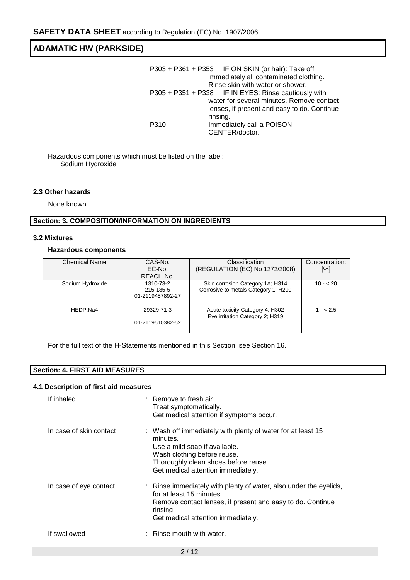|      | P303 + P361 + P353 IF ON SKIN (or hair): Take off    |
|------|------------------------------------------------------|
|      | immediately all contaminated clothing.               |
|      | Rinse skin with water or shower.                     |
|      | P305 + P351 + P338 IF IN EYES: Rinse cautiously with |
|      | water for several minutes. Remove contact            |
|      | lenses, if present and easy to do. Continue          |
|      | rinsing.                                             |
| P310 | Immediately call a POISON                            |
|      | CENTER/doctor.                                       |

Hazardous components which must be listed on the label: Sodium Hydroxide

### **2.3 Other hazards**

None known.

### **Section: 3. COMPOSITION/INFORMATION ON INGREDIENTS**

#### **3.2 Mixtures**

### **Hazardous components**

| <b>Chemical Name</b> | CAS-No.          | Classification                                                     | Concentration: |
|----------------------|------------------|--------------------------------------------------------------------|----------------|
|                      | EC-No.           | (REGULATION (EC) No 1272/2008)                                     | [%]            |
|                      | REACH No.        |                                                                    |                |
| Sodium Hydroxide     | 1310-73-2        | Skin corrosion Category 1A; H314                                   | $10 - 20$      |
|                      | 215-185-5        | Corrosive to metals Category 1; H290                               |                |
|                      | 01-2119457892-27 |                                                                    |                |
|                      |                  |                                                                    |                |
| HEDP.Na4             | 29329-71-3       | Acute toxicity Category 4; H302<br>Eye irritation Category 2; H319 | $1 - 2.5$      |
|                      | 01-2119510382-52 |                                                                    |                |
|                      |                  |                                                                    |                |

For the full text of the H-Statements mentioned in this Section, see Section 16.

## **Section: 4. FIRST AID MEASURES**

#### **4.1 Description of first aid measures**

| If inhaled              | $:$ Remove to fresh air.<br>Treat symptomatically.<br>Get medical attention if symptoms occur.                                                                                                                        |
|-------------------------|-----------------------------------------------------------------------------------------------------------------------------------------------------------------------------------------------------------------------|
| In case of skin contact | : Wash off immediately with plenty of water for at least 15<br>minutes.<br>Use a mild soap if available.<br>Wash clothing before reuse.<br>Thoroughly clean shoes before reuse.<br>Get medical attention immediately. |
| In case of eye contact  | : Rinse immediately with plenty of water, also under the eyelids,<br>for at least 15 minutes.<br>Remove contact lenses, if present and easy to do. Continue<br>rinsing.<br>Get medical attention immediately.         |
| If swallowed            | $:$ Rinse mouth with water.                                                                                                                                                                                           |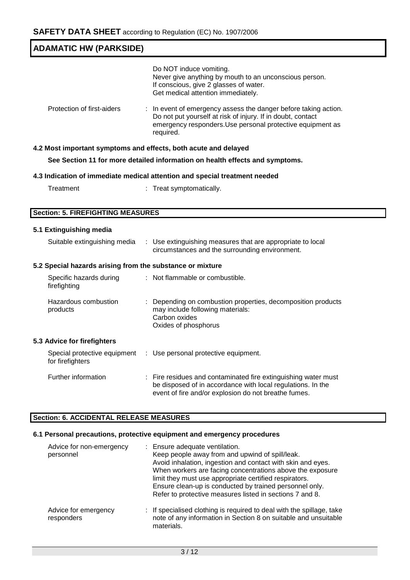| <b>ADAMATIC HW (PARKSIDE)</b>                                   |                                                                                                                                                                                                         |  |  |  |
|-----------------------------------------------------------------|---------------------------------------------------------------------------------------------------------------------------------------------------------------------------------------------------------|--|--|--|
|                                                                 |                                                                                                                                                                                                         |  |  |  |
|                                                                 | Do NOT induce vomiting.<br>Never give anything by mouth to an unconscious person.<br>If conscious, give 2 glasses of water.<br>Get medical attention immediately.                                       |  |  |  |
| Protection of first-aiders                                      | In event of emergency assess the danger before taking action.<br>Do not put yourself at risk of injury. If in doubt, contact<br>emergency responders. Use personal protective equipment as<br>required. |  |  |  |
| 4.2 Most important symptoms and effects, both acute and delayed |                                                                                                                                                                                                         |  |  |  |
|                                                                 | See Section 11 for more detailed information on health effects and symptoms.                                                                                                                            |  |  |  |
|                                                                 | 4.3 Indication of immediate medical attention and special treatment needed                                                                                                                              |  |  |  |
| Treatment                                                       | : Treat symptomatically.                                                                                                                                                                                |  |  |  |
|                                                                 |                                                                                                                                                                                                         |  |  |  |
| <b>Section: 5. FIREFIGHTING MEASURES</b>                        |                                                                                                                                                                                                         |  |  |  |
| 5.1 Extinguishing media                                         |                                                                                                                                                                                                         |  |  |  |
| Suitable extinguishing media                                    | : Use extinguishing measures that are appropriate to local<br>circumstances and the surrounding environment.                                                                                            |  |  |  |
| 5.2 Special hazards arising from the substance or mixture       |                                                                                                                                                                                                         |  |  |  |
| Specific hazards during<br>firefighting                         | : Not flammable or combustible.                                                                                                                                                                         |  |  |  |
| Hazardous combustion<br>products                                | : Depending on combustion properties, decomposition products<br>may include following materials:<br>Carbon oxides<br>Oxides of phosphorus                                                               |  |  |  |
| 5.3 Advice for firefighters                                     |                                                                                                                                                                                                         |  |  |  |
| Special protective equipment<br>for firefighters                | : Use personal protective equipment.                                                                                                                                                                    |  |  |  |
| Further information                                             | Fire residues and contaminated fire extinguishing water must<br>be disposed of in accordance with local regulations. In the<br>event of fire and/or explosion do not breathe fumes.                     |  |  |  |

# **Section: 6. ACCIDENTAL RELEASE MEASURES**

# **6.1 Personal precautions, protective equipment and emergency procedures**

| Advice for non-emergency<br>personnel | : Ensure adequate ventilation.<br>Keep people away from and upwind of spill/leak.<br>Avoid inhalation, ingestion and contact with skin and eyes.<br>When workers are facing concentrations above the exposure<br>limit they must use appropriate certified respirators.<br>Ensure clean-up is conducted by trained personnel only.<br>Refer to protective measures listed in sections 7 and 8. |
|---------------------------------------|------------------------------------------------------------------------------------------------------------------------------------------------------------------------------------------------------------------------------------------------------------------------------------------------------------------------------------------------------------------------------------------------|
| Advice for emergency<br>responders    | : If specialised clothing is required to deal with the spillage, take<br>note of any information in Section 8 on suitable and unsuitable<br>materials.                                                                                                                                                                                                                                         |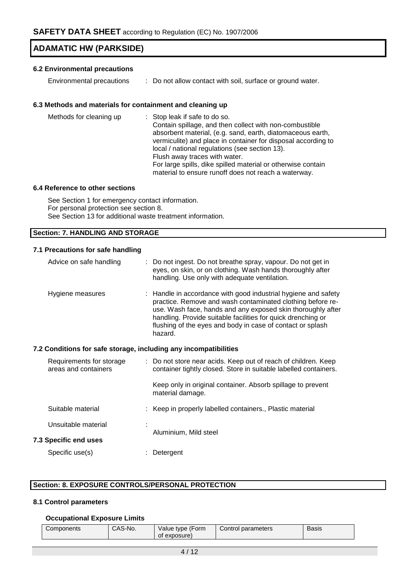## **6.2 Environmental precautions**

Environmental precautions : Do not allow contact with soil, surface or ground water.

### **6.3 Methods and materials for containment and cleaning up**

| local / national regulations (see section 13).<br>Flush away traces with water.<br>For large spills, dike spilled material or otherwise contain<br>material to ensure runoff does not reach a waterway. |
|---------------------------------------------------------------------------------------------------------------------------------------------------------------------------------------------------------|
|---------------------------------------------------------------------------------------------------------------------------------------------------------------------------------------------------------|

### **6.4 Reference to other sections**

See Section 1 for emergency contact information. For personal protection see section 8. See Section 13 for additional waste treatment information.

### **Section: 7. HANDLING AND STORAGE**

### **7.1 Precautions for safe handling**

| Advice on safe handling                                          | : Do not ingest. Do not breathe spray, vapour. Do not get in<br>eyes, on skin, or on clothing. Wash hands thoroughly after<br>handling. Use only with adequate ventilation.                                                                                                                                                          |
|------------------------------------------------------------------|--------------------------------------------------------------------------------------------------------------------------------------------------------------------------------------------------------------------------------------------------------------------------------------------------------------------------------------|
| Hygiene measures                                                 | : Handle in accordance with good industrial hygiene and safety<br>practice. Remove and wash contaminated clothing before re-<br>use. Wash face, hands and any exposed skin thoroughly after<br>handling. Provide suitable facilities for quick drenching or<br>flushing of the eyes and body in case of contact or splash<br>hazard. |
| 7.2 Conditions for safe storage, including any incompatibilities |                                                                                                                                                                                                                                                                                                                                      |
| Requirements for storage<br>areas and containers                 | : Do not store near acids. Keep out of reach of children. Keep<br>container tightly closed. Store in suitable labelled containers.                                                                                                                                                                                                   |
|                                                                  | Keep only in original container. Absorb spillage to prevent<br>material damage.                                                                                                                                                                                                                                                      |
| Suitable material                                                | : Keep in properly labelled containers., Plastic material                                                                                                                                                                                                                                                                            |
| Unsuitable material                                              |                                                                                                                                                                                                                                                                                                                                      |
| <b>7.3 Specific end uses</b>                                     | Aluminium, Mild steel                                                                                                                                                                                                                                                                                                                |
| Specific use(s)                                                  | Detergent                                                                                                                                                                                                                                                                                                                            |

### **Section: 8. EXPOSURE CONTROLS/PERSONAL PROTECTION**

### **8.1 Control parameters**

### **Occupational Exposure Limits**

| Components | CAS-No. | Value type (Form<br>exposure)<br>οt | Control parameters | Basis |
|------------|---------|-------------------------------------|--------------------|-------|
|------------|---------|-------------------------------------|--------------------|-------|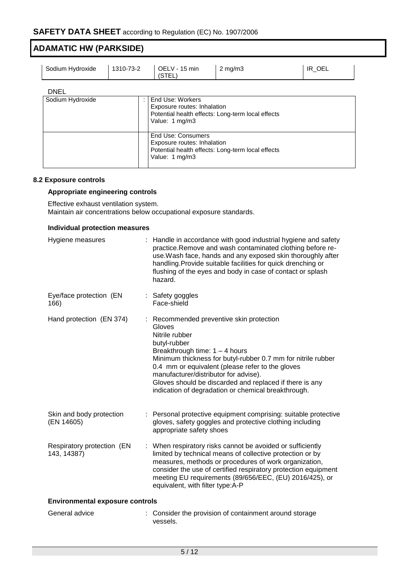| Sodium Hydroxide                | 1310-73-2 | OELV - 15 min<br>(STEL)                                                                                                                    | $2 \text{ mg/m}$ | IR OEL |
|---------------------------------|-----------|--------------------------------------------------------------------------------------------------------------------------------------------|------------------|--------|
| <b>DNEL</b><br>Sodium Hydroxide |           | End Use: Workers<br>Exposure routes: Inhalation<br>Potential health effects: Long-term local effects                                       |                  |        |
|                                 |           | Value: 1 mg/m3<br>End Use: Consumers<br>Exposure routes: Inhalation<br>Potential health effects: Long-term local effects<br>Value: 1 mg/m3 |                  |        |

### **8.2 Exposure controls**

### **Appropriate engineering controls**

Effective exhaust ventilation system. Maintain air concentrations below occupational exposure standards.

### **Individual protection measures**

| Hygiene measures                          | Handle in accordance with good industrial hygiene and safety<br>practice.Remove and wash contaminated clothing before re-<br>use. Wash face, hands and any exposed skin thoroughly after<br>handling. Provide suitable facilities for quick drenching or<br>flushing of the eyes and body in case of contact or splash<br>hazard.                                                                   |
|-------------------------------------------|-----------------------------------------------------------------------------------------------------------------------------------------------------------------------------------------------------------------------------------------------------------------------------------------------------------------------------------------------------------------------------------------------------|
| Eye/face protection (EN<br>166)           | : Safety goggles<br>Face-shield                                                                                                                                                                                                                                                                                                                                                                     |
| Hand protection (EN 374)                  | Recommended preventive skin protection<br>Gloves<br>Nitrile rubber<br>butyl-rubber<br>Breakthrough time: 1 - 4 hours<br>Minimum thickness for butyl-rubber 0.7 mm for nitrile rubber<br>0.4 mm or equivalent (please refer to the gloves<br>manufacturer/distributor for advise).<br>Gloves should be discarded and replaced if there is any<br>indication of degradation or chemical breakthrough. |
| Skin and body protection<br>(EN 14605)    | : Personal protective equipment comprising: suitable protective<br>gloves, safety goggles and protective clothing including<br>appropriate safety shoes                                                                                                                                                                                                                                             |
| Respiratory protection (EN<br>143, 14387) | : When respiratory risks cannot be avoided or sufficiently<br>limited by technical means of collective protection or by<br>measures, methods or procedures of work organization,<br>consider the use of certified respiratory protection equipment<br>meeting EU requirements (89/656/EEC, (EU) 2016/425), or<br>equivalent, with filter type:A-P                                                   |
| <b>Environmental exposure controls</b>    |                                                                                                                                                                                                                                                                                                                                                                                                     |
| General advice                            | : Consider the provision of containment around storage<br>vessels.                                                                                                                                                                                                                                                                                                                                  |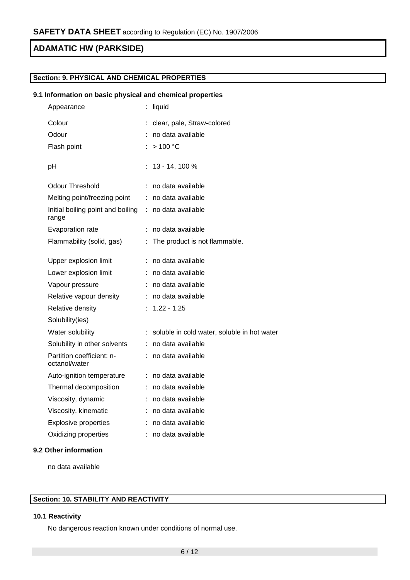### **Section: 9. PHYSICAL AND CHEMICAL PROPERTIES**

### **9.1 Information on basic physical and chemical properties**

| Appearance                                 |    | liquid                                      |
|--------------------------------------------|----|---------------------------------------------|
| Colour                                     |    | clear, pale, Straw-colored                  |
| Odour                                      |    | no data available                           |
| Flash point                                |    | >100 °C                                     |
| рH                                         | t. | 13 - 14, 100 %                              |
| <b>Odour Threshold</b>                     |    | no data available                           |
| Melting point/freezing point               | ÷. | no data available                           |
| Initial boiling point and boiling<br>range | ÷. | no data available                           |
| Evaporation rate                           | t  | no data available                           |
| Flammability (solid, gas)                  | ÷  | The product is not flammable.               |
| Upper explosion limit                      | ÷  | no data available                           |
| Lower explosion limit                      |    | no data available                           |
| Vapour pressure                            | t. | no data available                           |
| Relative vapour density                    |    | no data available                           |
| Relative density                           | t. | $1.22 - 1.25$                               |
| Solubility(ies)                            |    |                                             |
| Water solubility                           | t. | soluble in cold water, soluble in hot water |
| Solubility in other solvents               | ÷. | no data available                           |
| Partition coefficient: n-<br>octanol/water |    | no data available                           |
| Auto-ignition temperature                  | ÷. | no data available                           |
| Thermal decomposition                      |    | no data available                           |
| Viscosity, dynamic                         | t. | no data available                           |
| Viscosity, kinematic                       |    | no data available                           |
| <b>Explosive properties</b>                | ÷. | no data available                           |
| Oxidizing properties                       | ÷  | no data available                           |

### **9.2 Other information**

no data available

### **Section: 10. STABILITY AND REACTIVITY**

### **10.1 Reactivity**

No dangerous reaction known under conditions of normal use.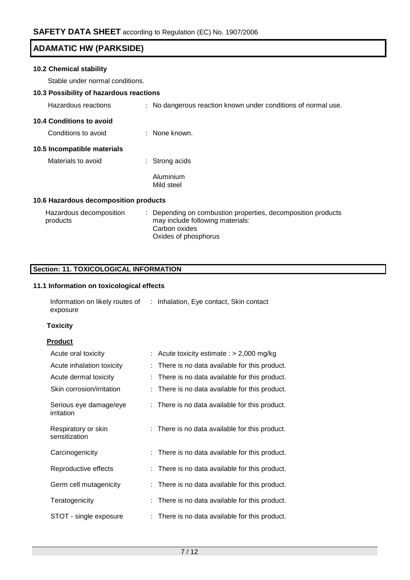### **10.2 Chemical stability**

Stable under normal conditions.

# **10.3 Possibility of hazardous reactions**

| Hazardous reactions                   | : No dangerous reaction known under conditions of normal use.                                    |
|---------------------------------------|--------------------------------------------------------------------------------------------------|
| 10.4 Conditions to avoid              |                                                                                                  |
| Conditions to avoid                   | $\therefore$ None known.                                                                         |
| 10.5 Incompatible materials           |                                                                                                  |
| Materials to avoid                    | Strong acids                                                                                     |
|                                       | Aluminium<br>Mild steel                                                                          |
| 10.6 Hazardous decomposition products |                                                                                                  |
| Hazardous decomposition<br>products   | : Depending on combustion properties, decomposition products<br>may include following materials: |

Carbon oxides Oxides of phosphorus

## **Section: 11. TOXICOLOGICAL INFORMATION**

### **11.1 Information on toxicological effects**

| Information on likely routes of | : Inhalation, Eye contact, Skin contact |
|---------------------------------|-----------------------------------------|
| exposure                        |                                         |

### **Toxicity**

### **Product**

| Acute oral toxicity                  | : Acute toxicity estimate : $> 2,000$ mg/kg    |
|--------------------------------------|------------------------------------------------|
| Acute inhalation toxicity            | There is no data available for this product.   |
| Acute dermal toxicity                | There is no data available for this product.   |
| Skin corrosion/irritation            | : There is no data available for this product. |
| Serious eye damage/eye<br>irritation | : There is no data available for this product. |
| Respiratory or skin<br>sensitization | : There is no data available for this product. |
| Carcinogenicity                      | : There is no data available for this product. |
| Reproductive effects                 | : There is no data available for this product. |
| Germ cell mutagenicity               | : There is no data available for this product. |
| Teratogenicity                       | There is no data available for this product.   |
| STOT - single exposure               | : There is no data available for this product. |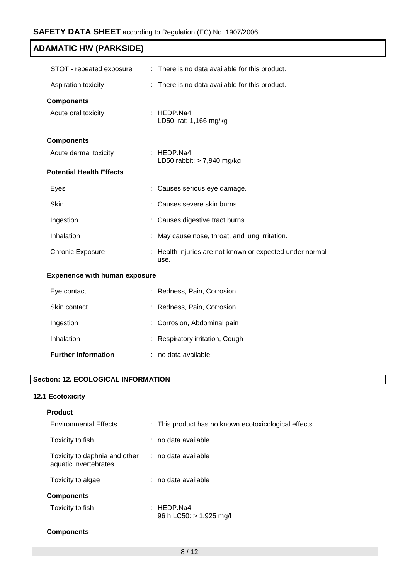| STOT - repeated exposure              | : There is no data available for this product.                 |  |
|---------------------------------------|----------------------------------------------------------------|--|
|                                       |                                                                |  |
| Aspiration toxicity                   | There is no data available for this product.<br>÷              |  |
| <b>Components</b>                     |                                                                |  |
| Acute oral toxicity                   | : HEDP.Na4<br>LD50 rat: 1,166 mg/kg                            |  |
| <b>Components</b>                     |                                                                |  |
| Acute dermal toxicity                 | : HEDP.Na4<br>LD50 rabbit: $> 7,940$ mg/kg                     |  |
| <b>Potential Health Effects</b>       |                                                                |  |
| Eyes                                  | : Causes serious eye damage.                                   |  |
| <b>Skin</b>                           | Causes severe skin burns.                                      |  |
| Ingestion                             | : Causes digestive tract burns.                                |  |
| Inhalation                            | : May cause nose, throat, and lung irritation.                 |  |
| <b>Chronic Exposure</b>               | Health injuries are not known or expected under normal<br>use. |  |
| <b>Experience with human exposure</b> |                                                                |  |
| Eye contact                           | Redness, Pain, Corrosion                                       |  |
| Skin contact                          | : Redness, Pain, Corrosion                                     |  |
| Ingestion                             | Corrosion, Abdominal pain                                      |  |

| Inhalation | Respiratory irritation, Cough |  |
|------------|-------------------------------|--|
|            |                               |  |

# **Section: 12. ECOLOGICAL INFORMATION**

# **12.1 Ecotoxicity**

| <b>Product</b>                                         |                                                       |
|--------------------------------------------------------|-------------------------------------------------------|
| <b>Environmental Effects</b>                           | : This product has no known ecotoxicological effects. |
| Toxicity to fish                                       | : no data available                                   |
| Toxicity to daphnia and other<br>aquatic invertebrates | : no data available                                   |
| Toxicity to algae                                      | $:$ no data available                                 |
| <b>Components</b>                                      |                                                       |
| Toxicity to fish                                       | : HEDP.Na4<br>96 h LC50: > 1,925 mg/l                 |
| <b>Components</b>                                      |                                                       |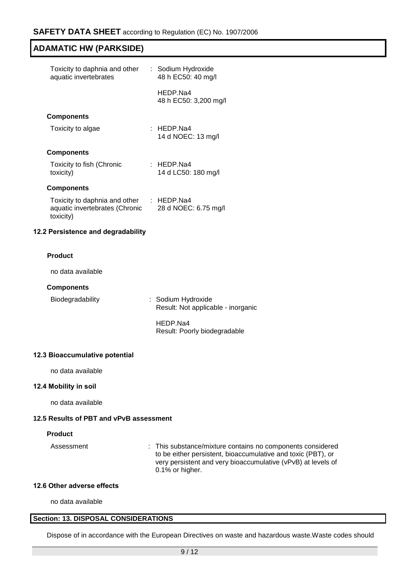| Toxicity to daphnia and other<br>aquatic invertebrates                       | : Sodium Hydroxide<br>48 h EC50: 40 mg/l |
|------------------------------------------------------------------------------|------------------------------------------|
|                                                                              | HEDP Na4<br>48 h EC50: 3,200 mg/l        |
| <b>Components</b>                                                            |                                          |
| Toxicity to algae                                                            | $\pm$ HEDP Na4<br>14 d NOEC: 13 mg/l     |
| <b>Components</b>                                                            |                                          |
| Toxicity to fish (Chronic<br>toxicity)                                       | $:$ HEDP Na4<br>14 d LC50: 180 mg/l      |
| <b>Components</b>                                                            |                                          |
| Toxicity to daphnia and other<br>aquatic invertebrates (Chronic<br>toxicity) | : HEDP.Na4<br>28 d NOEC: 6.75 mg/l       |

### **12.2 Persistence and degradability**

### **Product**

no data available

#### **Components**

Biodegradability : Sodium Hydroxide Result: Not applicable - inorganic

> HEDP.Na4 Result: Poorly biodegradable

### **12.3 Bioaccumulative potential**

no data available

### **12.4 Mobility in soil**

no data available

### **12.5 Results of PBT and vPvB assessment**

### **Product**

Assessment : This substance/mixture contains no components considered to be either persistent, bioaccumulative and toxic (PBT), or very persistent and very bioaccumulative (vPvB) at levels of 0.1% or higher.

### **12.6 Other adverse effects**

no data available

### **Section: 13. DISPOSAL CONSIDERATIONS**

Dispose of in accordance with the European Directives on waste and hazardous waste.Waste codes should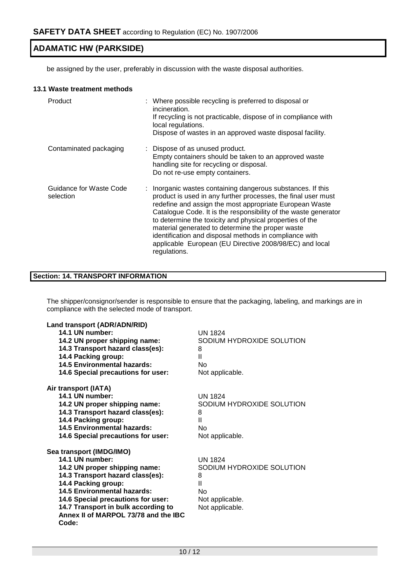be assigned by the user, preferably in discussion with the waste disposal authorities.

### **13.1 Waste treatment methods**

| Product                              | : Where possible recycling is preferred to disposal or<br>incineration.<br>If recycling is not practicable, dispose of in compliance with<br>local regulations.<br>Dispose of wastes in an approved waste disposal facility.                                                                                                                                                                                                                                                                                    |  |
|--------------------------------------|-----------------------------------------------------------------------------------------------------------------------------------------------------------------------------------------------------------------------------------------------------------------------------------------------------------------------------------------------------------------------------------------------------------------------------------------------------------------------------------------------------------------|--|
| Contaminated packaging               | : Dispose of as unused product.<br>Empty containers should be taken to an approved waste<br>handling site for recycling or disposal.<br>Do not re-use empty containers.                                                                                                                                                                                                                                                                                                                                         |  |
| Guidance for Waste Code<br>selection | : Inorganic wastes containing dangerous substances. If this<br>product is used in any further processes, the final user must<br>redefine and assign the most appropriate European Waste<br>Catalogue Code. It is the responsibility of the waste generator<br>to determine the toxicity and physical properties of the<br>material generated to determine the proper waste<br>identification and disposal methods in compliance with<br>applicable European (EU Directive 2008/98/EC) and local<br>regulations. |  |

## **Section: 14. TRANSPORT INFORMATION**

The shipper/consignor/sender is responsible to ensure that the packaging, labeling, and markings are in compliance with the selected mode of transport.

| Land transport (ADR/ADN/RID)         |                           |
|--------------------------------------|---------------------------|
| 14.1 UN number:                      | <b>UN 1824</b>            |
| 14.2 UN proper shipping name:        | SODIUM HYDROXIDE SOLUTION |
| 14.3 Transport hazard class(es):     | 8                         |
| 14.4 Packing group:                  | $\mathbf{H}$              |
| <b>14.5 Environmental hazards:</b>   | No                        |
| 14.6 Special precautions for user:   | Not applicable.           |
| Air transport (IATA)                 |                           |
| 14.1 UN number:                      | UN 1824                   |
| 14.2 UN proper shipping name:        | SODIUM HYDROXIDE SOLUTION |
| 14.3 Transport hazard class(es):     | 8                         |
| 14.4 Packing group:                  | $\mathbf{H}$              |
| 14.5 Environmental hazards:          | No                        |
| 14.6 Special precautions for user:   | Not applicable.           |
| Sea transport (IMDG/IMO)             |                           |
| 14.1 UN number:                      | UN 1824                   |
| 14.2 UN proper shipping name:        | SODIUM HYDROXIDE SOLUTION |
| 14.3 Transport hazard class(es):     | 8                         |
| 14.4 Packing group:                  | Ш                         |
| 14.5 Environmental hazards:          | No                        |
| 14.6 Special precautions for user:   | Not applicable.           |
| 14.7 Transport in bulk according to  | Not applicable.           |
| Annex II of MARPOL 73/78 and the IBC |                           |
| Code:                                |                           |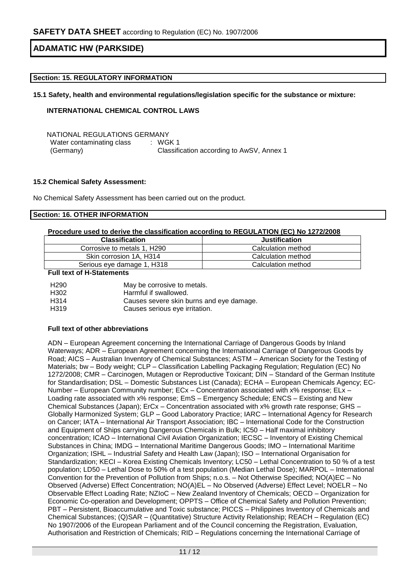### **Section: 15. REGULATORY INFORMATION**

**15.1 Safety, health and environmental regulations/legislation specific for the substance or mixture:**

### **INTERNATIONAL CHEMICAL CONTROL LAWS**

NATIONAL REGULATIONS GERMANY Water contaminating class (Germany) : WGK 1 Classification according to AwSV, Annex 1

### **15.2 Chemical Safety Assessment:**

No Chemical Safety Assessment has been carried out on the product.

### **Section: 16. OTHER INFORMATION**

### **Procedure used to derive the classification according to REGULATION (EC) No 1272/2008**

| <b>Classification</b>       | <b>Justification</b> |
|-----------------------------|----------------------|
| Corrosive to metals 1, H290 | Calculation method   |
| Skin corrosion 1A, H314     | Calculation method   |
| Serious eye damage 1, H318  | Calculation method   |

#### **Full text of H-Statements**

| H <sub>290</sub> | May be corrosive to metals.              |
|------------------|------------------------------------------|
| H <sub>302</sub> | Harmful if swallowed.                    |
| H <sub>314</sub> | Causes severe skin burns and eye damage. |
| H <sub>319</sub> | Causes serious eye irritation.           |

### **Full text of other abbreviations**

ADN – European Agreement concerning the International Carriage of Dangerous Goods by Inland Waterways; ADR – European Agreement concerning the International Carriage of Dangerous Goods by Road; AICS – Australian Inventory of Chemical Substances; ASTM – American Society for the Testing of Materials; bw – Body weight; CLP – Classification Labelling Packaging Regulation; Regulation (EC) No 1272/2008; CMR – Carcinogen, Mutagen or Reproductive Toxicant; DIN – Standard of the German Institute for Standardisation; DSL – Domestic Substances List (Canada); ECHA – European Chemicals Agency; EC-Number – European Community number; ECx – Concentration associated with x% response; ELx – Loading rate associated with x% response; EmS - Emergency Schedule; ENCS - Existing and New Chemical Substances (Japan); ErCx – Concentration associated with x% growth rate response; GHS – Globally Harmonized System; GLP – Good Laboratory Practice; IARC – International Agency for Research on Cancer; IATA – International Air Transport Association; IBC – International Code for the Construction and Equipment of Ships carrying Dangerous Chemicals in Bulk; IC50 – Half maximal inhibitory concentration; ICAO – International Civil Aviation Organization; IECSC – Inventory of Existing Chemical Substances in China; IMDG – International Maritime Dangerous Goods; IMO – International Maritime Organization; ISHL – Industrial Safety and Health Law (Japan); ISO – International Organisation for Standardization; KECI – Korea Existing Chemicals Inventory; LC50 – Lethal Concentration to 50 % of a test population; LD50 – Lethal Dose to 50% of a test population (Median Lethal Dose); MARPOL – International Convention for the Prevention of Pollution from Ships; n.o.s. – Not Otherwise Specified; NO(A)EC – No Observed (Adverse) Effect Concentration; NO(A)EL – No Observed (Adverse) Effect Level; NOELR – No Observable Effect Loading Rate; NZIoC – New Zealand Inventory of Chemicals; OECD – Organization for Economic Co-operation and Development; OPPTS – Office of Chemical Safety and Pollution Prevention; PBT – Persistent, Bioaccumulative and Toxic substance; PICCS – Philippines Inventory of Chemicals and Chemical Substances; (Q)SAR – (Quantitative) Structure Activity Relationship; REACH – Regulation (EC) No 1907/2006 of the European Parliament and of the Council concerning the Registration, Evaluation, Authorisation and Restriction of Chemicals; RID – Regulations concerning the International Carriage of